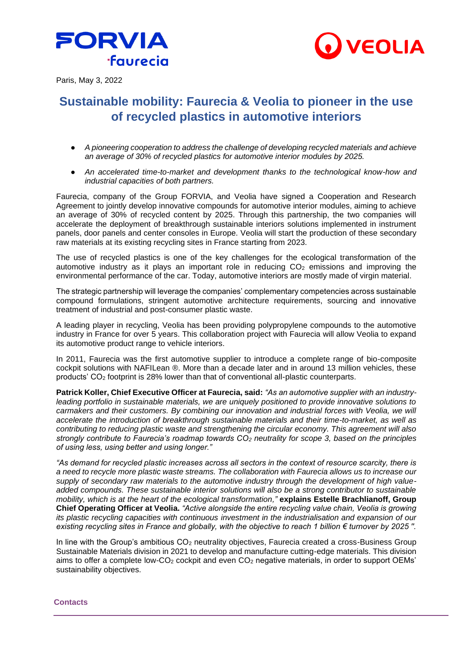



Paris, May 3, 2022

# **Sustainable mobility: Faurecia & Veolia to pioneer in the use of recycled plastics in automotive interiors**

- *A pioneering cooperation to address the challenge of developing recycled materials and achieve an average of 30% of recycled plastics for automotive interior modules by 2025.*
- *An accelerated time-to-market and development thanks to the technological know-how and industrial capacities of both partners.*

Faurecia, company of the Group FORVIA, and Veolia have signed a Cooperation and Research Agreement to jointly develop innovative compounds for automotive interior modules, aiming to achieve an average of 30% of recycled content by 2025. Through this partnership, the two companies will accelerate the deployment of breakthrough sustainable interiors solutions implemented in instrument panels, door panels and center consoles in Europe. Veolia will start the production of these secondary raw materials at its existing recycling sites in France starting from 2023.

The use of recycled plastics is one of the key challenges for the ecological transformation of the automotive industry as it plays an important role in reducing  $CO<sub>2</sub>$  emissions and improving the environmental performance of the car. Today, automotive interiors are mostly made of virgin material.

The strategic partnership will leverage the companies' complementary competencies across sustainable compound formulations, stringent automotive architecture requirements, sourcing and innovative treatment of industrial and post-consumer plastic waste.

A leading player in recycling, Veolia has been providing polypropylene compounds to the automotive industry in France for over 5 years. This collaboration project with Faurecia will allow Veolia to expand its automotive product range to vehicle interiors.

In 2011, Faurecia was the first automotive supplier to introduce a complete range of bio-composite cockpit solutions with NAFILean ®. More than a decade later and in around 13 million vehicles, these products' CO<sub>2</sub> footprint is 28% lower than that of conventional all-plastic counterparts.

**Patrick Koller, Chief Executive Officer at Faurecia, said:** *"As an automotive supplier with an industryleading portfolio in sustainable materials, we are uniquely positioned to provide innovative solutions to carmakers and their customers. By combining our innovation and industrial forces with Veolia, we will accelerate the introduction of breakthrough sustainable materials and their time-to-market, as well as contributing to reducing plastic waste and strengthening the circular economy. This agreement will also strongly contribute to Faurecia's roadmap towards CO<sup>2</sup> neutrality for scope 3, based on the principles of using less, using better and using longer."* 

*"As demand for recycled plastic increases across all sectors in the context of resource scarcity, there is a need to recycle more plastic waste streams. The collaboration with Faurecia allows us to increase our supply of secondary raw materials to the automotive industry through the development of high valueadded compounds. These sustainable interior solutions will also be a strong contributor to sustainable mobility, which is at the heart of the ecological transformation,"* **explains Estelle Brachlianoff, Group Chief Operating Officer at Veolia.** *"Active alongside the entire recycling value chain, Veolia is growing its plastic recycling capacities with continuous investment in the industrialisation and expansion of our existing recycling sites in France and globally, with the objective to reach 1 billion € turnover by 2025 ''.* 

In line with the Group's ambitious CO<sub>2</sub> neutrality objectives, Faurecia created a cross-Business Group Sustainable Materials division in 2021 to develop and manufacture cutting-edge materials. This division aims to offer a complete low- $CO<sub>2</sub>$  cockpit and even  $CO<sub>2</sub>$  negative materials, in order to support OEMs' sustainability objectives.

# **Contacts**